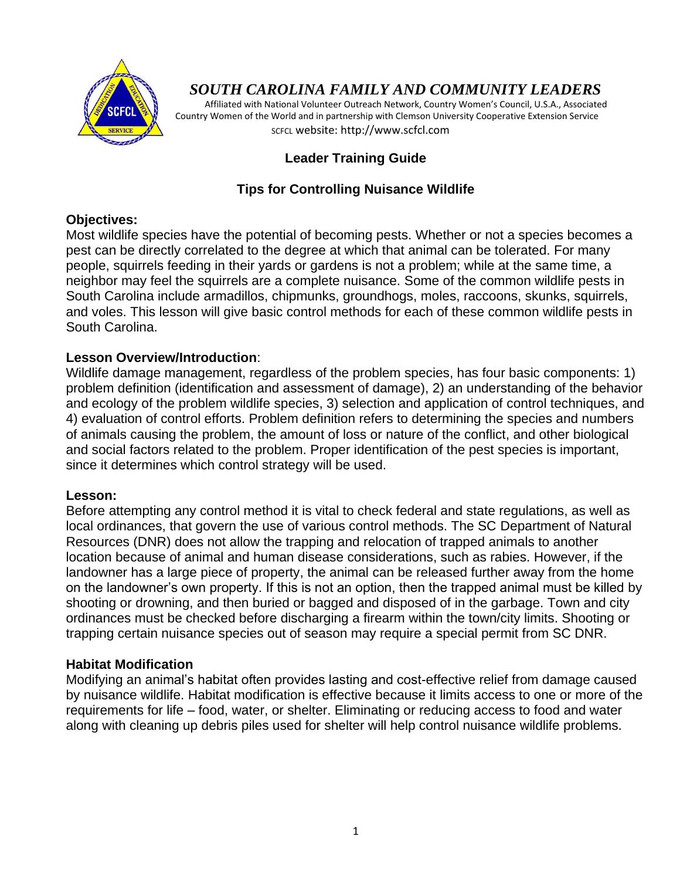

# *SOUTH CAROLINA FAMILY AND COMMUNITY LEADERS*

 Affiliated with National Volunteer Outreach Network, Country Women's Council, U.S.A., Associated Country Women of the World and in partnership with Clemson University Cooperative Extension Service SCFCL website: http://www.scfcl.com

# **Leader Training Guide**

# **Tips for Controlling Nuisance Wildlife**

#### **Objectives:**

Most wildlife species have the potential of becoming pests. Whether or not a species becomes a pest can be directly correlated to the degree at which that animal can be tolerated. For many people, squirrels feeding in their yards or gardens is not a problem; while at the same time, a neighbor may feel the squirrels are a complete nuisance. Some of the common wildlife pests in South Carolina include armadillos, chipmunks, groundhogs, moles, raccoons, skunks, squirrels, and voles. This lesson will give basic control methods for each of these common wildlife pests in South Carolina.

# **Lesson Overview/Introduction**:

Wildlife damage management, regardless of the problem species, has four basic components: 1) problem definition (identification and assessment of damage), 2) an understanding of the behavior and ecology of the problem wildlife species, 3) selection and application of control techniques, and 4) evaluation of control efforts. Problem definition refers to determining the species and numbers of animals causing the problem, the amount of loss or nature of the conflict, and other biological and social factors related to the problem. Proper identification of the pest species is important, since it determines which control strategy will be used.

#### **Lesson:**

Before attempting any control method it is vital to check federal and state regulations, as well as local ordinances, that govern the use of various control methods. The SC Department of Natural Resources (DNR) does not allow the trapping and relocation of trapped animals to another location because of animal and human disease considerations, such as rabies. However, if the landowner has a large piece of property, the animal can be released further away from the home on the landowner's own property. If this is not an option, then the trapped animal must be killed by shooting or drowning, and then buried or bagged and disposed of in the garbage. Town and city ordinances must be checked before discharging a firearm within the town/city limits. Shooting or trapping certain nuisance species out of season may require a special permit from SC DNR.

# **Habitat Modification**

Modifying an animal's habitat often provides lasting and cost-effective relief from damage caused by nuisance wildlife. Habitat modification is effective because it limits access to one or more of the requirements for life – food, water, or shelter. Eliminating or reducing access to food and water along with cleaning up debris piles used for shelter will help control nuisance wildlife problems.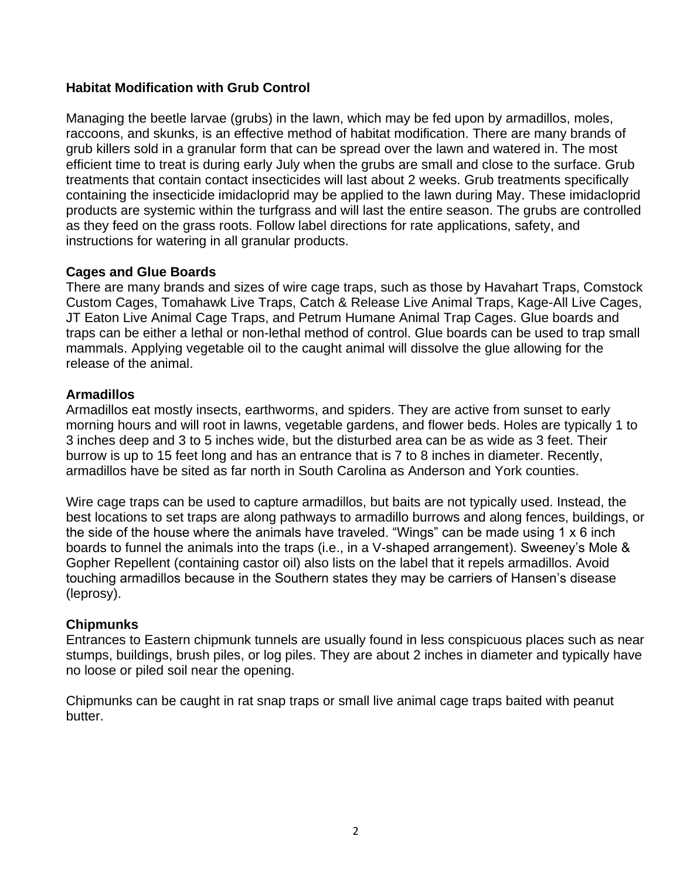# **Habitat Modification with Grub Control**

Managing the beetle larvae (grubs) in the lawn, which may be fed upon by armadillos, moles, raccoons, and skunks, is an effective method of habitat modification. There are many brands of grub killers sold in a granular form that can be spread over the lawn and watered in. The most efficient time to treat is during early July when the grubs are small and close to the surface. Grub treatments that contain contact insecticides will last about 2 weeks. Grub treatments specifically containing the insecticide imidacloprid may be applied to the lawn during May. These imidacloprid products are systemic within the turfgrass and will last the entire season. The grubs are controlled as they feed on the grass roots. Follow label directions for rate applications, safety, and instructions for watering in all granular products.

# **Cages and Glue Boards**

There are many brands and sizes of wire cage traps, such as those by Havahart Traps, Comstock Custom Cages, Tomahawk Live Traps, Catch & Release Live Animal Traps, Kage-All Live Cages, JT Eaton Live Animal Cage Traps, and Petrum Humane Animal Trap Cages. Glue boards and traps can be either a lethal or non-lethal method of control. Glue boards can be used to trap small mammals. Applying vegetable oil to the caught animal will dissolve the glue allowing for the release of the animal.

# **Armadillos**

Armadillos eat mostly insects, earthworms, and spiders. They are active from sunset to early morning hours and will root in lawns, vegetable gardens, and flower beds. Holes are typically 1 to 3 inches deep and 3 to 5 inches wide, but the disturbed area can be as wide as 3 feet. Their burrow is up to 15 feet long and has an entrance that is 7 to 8 inches in diameter. Recently, armadillos have be sited as far north in South Carolina as Anderson and York counties.

Wire cage traps can be used to capture armadillos, but baits are not typically used. Instead, the best locations to set traps are along pathways to armadillo burrows and along fences, buildings, or the side of the house where the animals have traveled. "Wings" can be made using 1 x 6 inch boards to funnel the animals into the traps (i.e., in a V-shaped arrangement). Sweeney's Mole & Gopher Repellent (containing castor oil) also lists on the label that it repels armadillos. Avoid touching armadillos because in the Southern states they may be carriers of Hansen's disease (leprosy).

#### **Chipmunks**

Entrances to Eastern chipmunk tunnels are usually found in less conspicuous places such as near stumps, buildings, brush piles, or log piles. They are about 2 inches in diameter and typically have no loose or piled soil near the opening.

Chipmunks can be caught in rat snap traps or small live animal cage traps baited with peanut butter.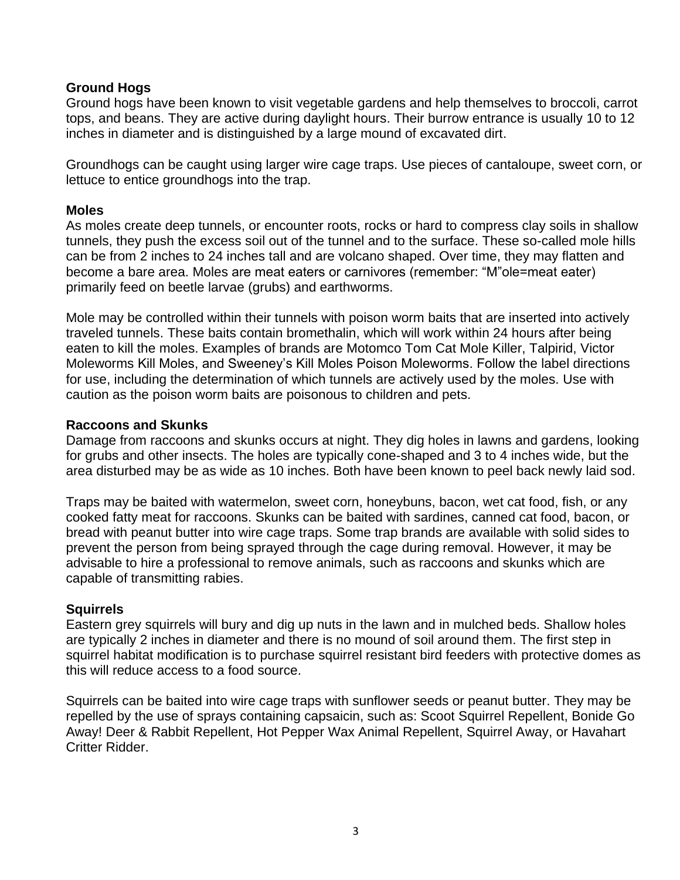#### **Ground Hogs**

Ground hogs have been known to visit vegetable gardens and help themselves to broccoli, carrot tops, and beans. They are active during daylight hours. Their burrow entrance is usually 10 to 12 inches in diameter and is distinguished by a large mound of excavated dirt.

Groundhogs can be caught using larger wire cage traps. Use pieces of cantaloupe, sweet corn, or lettuce to entice groundhogs into the trap.

#### **Moles**

As moles create deep tunnels, or encounter roots, rocks or hard to compress clay soils in shallow tunnels, they push the excess soil out of the tunnel and to the surface. These so-called mole hills can be from 2 inches to 24 inches tall and are volcano shaped. Over time, they may flatten and become a bare area. Moles are meat eaters or carnivores (remember: "M"ole=meat eater) primarily feed on beetle larvae (grubs) and earthworms.

Mole may be controlled within their tunnels with poison worm baits that are inserted into actively traveled tunnels. These baits contain bromethalin, which will work within 24 hours after being eaten to kill the moles. Examples of brands are Motomco Tom Cat Mole Killer, Talpirid, Victor Moleworms Kill Moles, and Sweeney's Kill Moles Poison Moleworms. Follow the label directions for use, including the determination of which tunnels are actively used by the moles. Use with caution as the poison worm baits are poisonous to children and pets.

#### **Raccoons and Skunks**

Damage from raccoons and skunks occurs at night. They dig holes in lawns and gardens, looking for grubs and other insects. The holes are typically cone-shaped and 3 to 4 inches wide, but the area disturbed may be as wide as 10 inches. Both have been known to peel back newly laid sod.

Traps may be baited with watermelon, sweet corn, honeybuns, bacon, wet cat food, fish, or any cooked fatty meat for raccoons. Skunks can be baited with sardines, canned cat food, bacon, or bread with peanut butter into wire cage traps. Some trap brands are available with solid sides to prevent the person from being sprayed through the cage during removal. However, it may be advisable to hire a professional to remove animals, such as raccoons and skunks which are capable of transmitting rabies.

# **Squirrels**

Eastern grey squirrels will bury and dig up nuts in the lawn and in mulched beds. Shallow holes are typically 2 inches in diameter and there is no mound of soil around them. The first step in squirrel habitat modification is to purchase squirrel resistant bird feeders with protective domes as this will reduce access to a food source.

Squirrels can be baited into wire cage traps with sunflower seeds or peanut butter. They may be repelled by the use of sprays containing capsaicin, such as: Scoot Squirrel Repellent, Bonide Go Away! Deer & Rabbit Repellent, Hot Pepper Wax Animal Repellent, Squirrel Away, or Havahart Critter Ridder.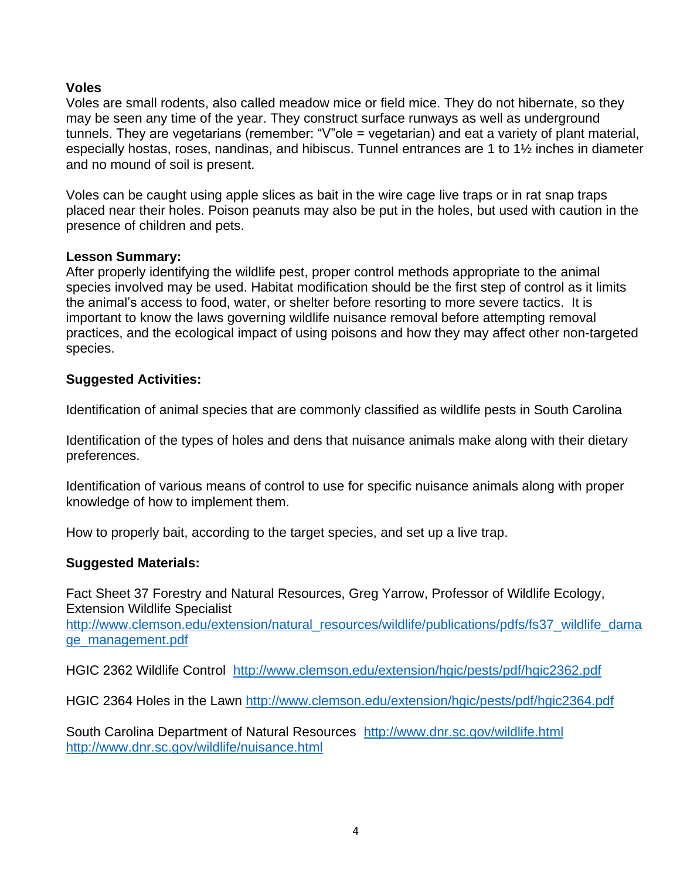# **Voles**

Voles are small rodents, also called meadow mice or field mice. They do not hibernate, so they may be seen any time of the year. They construct surface runways as well as underground tunnels. They are vegetarians (remember: "V"ole = vegetarian) and eat a variety of plant material, especially hostas, roses, nandinas, and hibiscus. Tunnel entrances are 1 to 1½ inches in diameter and no mound of soil is present.

Voles can be caught using apple slices as bait in the wire cage live traps or in rat snap traps placed near their holes. Poison peanuts may also be put in the holes, but used with caution in the presence of children and pets.

#### **Lesson Summary:**

After properly identifying the wildlife pest, proper control methods appropriate to the animal species involved may be used. Habitat modification should be the first step of control as it limits the animal's access to food, water, or shelter before resorting to more severe tactics. It is important to know the laws governing wildlife nuisance removal before attempting removal practices, and the ecological impact of using poisons and how they may affect other non-targeted species.

#### **Suggested Activities:**

Identification of animal species that are commonly classified as wildlife pests in South Carolina

Identification of the types of holes and dens that nuisance animals make along with their dietary preferences.

Identification of various means of control to use for specific nuisance animals along with proper knowledge of how to implement them.

How to properly bait, according to the target species, and set up a live trap.

#### **Suggested Materials:**

Fact Sheet 37 Forestry and Natural Resources, Greg Yarrow, Professor of Wildlife Ecology, Extension Wildlife Specialist

[http://www.clemson.edu/extension/natural\\_resources/wildlife/publications/pdfs/fs37\\_wildlife\\_dama](http://www.clemson.edu/extension/natural_resources/wildlife/publications/pdfs/fs37_wildlife_damage_management.pdf) [ge\\_management.pdf](http://www.clemson.edu/extension/natural_resources/wildlife/publications/pdfs/fs37_wildlife_damage_management.pdf)

HGIC 2362 Wildlife Control <http://www.clemson.edu/extension/hgic/pests/pdf/hgic2362.pdf>

HGIC 2364 Holes in the Lawn<http://www.clemson.edu/extension/hgic/pests/pdf/hgic2364.pdf>

South Carolina Department of Natural Resources http://www.dnr.sc.gov/wildlife.html <http://www.dnr.sc.gov/wildlife/nuisance.html>